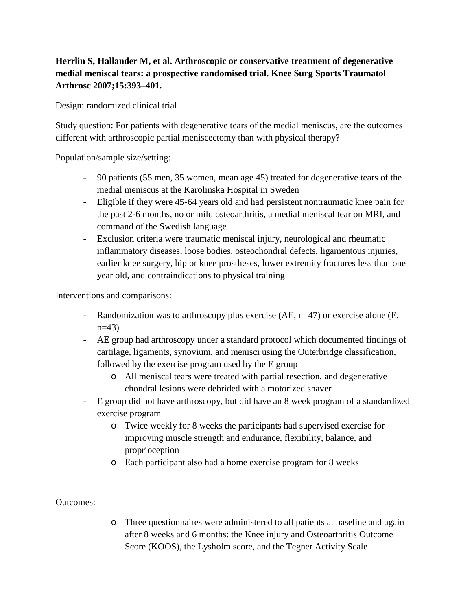# **Herrlin S, Hallander M, et al. Arthroscopic or conservative treatment of degenerative medial meniscal tears: a prospective randomised trial. Knee Surg Sports Traumatol Arthrosc 2007;15:393–401.**

Design: randomized clinical trial

Study question: For patients with degenerative tears of the medial meniscus, are the outcomes different with arthroscopic partial meniscectomy than with physical therapy?

Population/sample size/setting:

- 90 patients (55 men, 35 women, mean age 45) treated for degenerative tears of the medial meniscus at the Karolinska Hospital in Sweden
- Eligible if they were 45-64 years old and had persistent nontraumatic knee pain for the past 2-6 months, no or mild osteoarthritis, a medial meniscal tear on MRI, and command of the Swedish language
- Exclusion criteria were traumatic meniscal injury, neurological and rheumatic inflammatory diseases, loose bodies, osteochondral defects, ligamentous injuries, earlier knee surgery, hip or knee prostheses, lower extremity fractures less than one year old, and contraindications to physical training

Interventions and comparisons:

- Randomization was to arthroscopy plus exercise  $(AE, n=47)$  or exercise alone  $(E, n=47)$ n=43)
- AE group had arthroscopy under a standard protocol which documented findings of cartilage, ligaments, synovium, and menisci using the Outerbridge classification, followed by the exercise program used by the E group
	- o All meniscal tears were treated with partial resection, and degenerative chondral lesions were debrided with a motorized shaver
- E group did not have arthroscopy, but did have an 8 week program of a standardized exercise program
	- o Twice weekly for 8 weeks the participants had supervised exercise for improving muscle strength and endurance, flexibility, balance, and proprioception
	- o Each participant also had a home exercise program for 8 weeks

## Outcomes:

o Three questionnaires were administered to all patients at baseline and again after 8 weeks and 6 months: the Knee injury and Osteoarthritis Outcome Score (KOOS), the Lysholm score, and the Tegner Activity Scale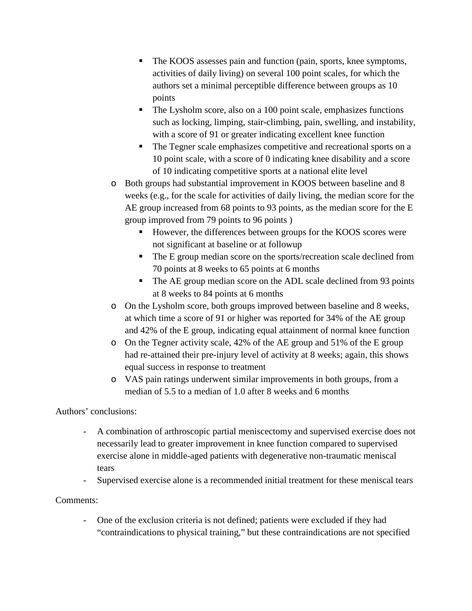- The KOOS assesses pain and function (pain, sports, knee symptoms, activities of daily living) on several 100 point scales, for which the authors set a minimal perceptible difference between groups as 10 points
- The Lysholm score, also on a 100 point scale, emphasizes functions such as locking, limping, stair-climbing, pain, swelling, and instability, with a score of 91 or greater indicating excellent knee function
- The Tegner scale emphasizes competitive and recreational sports on a 10 point scale, with a score of 0 indicating knee disability and a score of 10 indicating competitive sports at a national elite level
- o Both groups had substantial improvement in KOOS between baseline and 8 weeks (e.g., for the scale for activities of daily living, the median score for the AE group increased from 68 points to 93 points, as the median score for the E group improved from 79 points to 96 points )
	- However, the differences between groups for the KOOS scores were not significant at baseline or at followup
	- The E group median score on the sports/recreation scale declined from 70 points at 8 weeks to 65 points at 6 months
	- The AE group median score on the ADL scale declined from 93 points at 8 weeks to 84 points at 6 months
- o On the Lysholm score, both groups improved between baseline and 8 weeks, at which time a score of 91 or higher was reported for 34% of the AE group and 42% of the E group, indicating equal attainment of normal knee function
- o On the Tegner activity scale, 42% of the AE group and 51% of the E group had re-attained their pre-injury level of activity at 8 weeks; again, this shows equal success in response to treatment
- o VAS pain ratings underwent similar improvements in both groups, from a median of 5.5 to a median of 1.0 after 8 weeks and 6 months

## Authors' conclusions:

- A combination of arthroscopic partial meniscectomy and supervised exercise does not necessarily lead to greater improvement in knee function compared to supervised exercise alone in middle-aged patients with degenerative non-traumatic meniscal tears
- Supervised exercise alone is a recommended initial treatment for these meniscal tears

## Comments:

- One of the exclusion criteria is not defined; patients were excluded if they had "contraindications to physical training," but these contraindications are not specified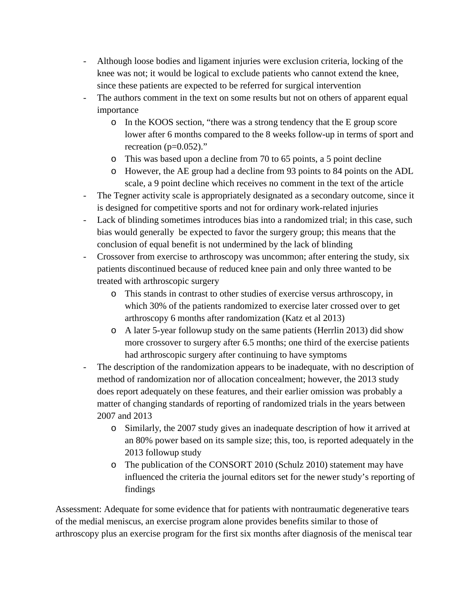- Although loose bodies and ligament injuries were exclusion criteria, locking of the knee was not; it would be logical to exclude patients who cannot extend the knee, since these patients are expected to be referred for surgical intervention
- The authors comment in the text on some results but not on others of apparent equal importance
	- o In the KOOS section, "there was a strong tendency that the E group score lower after 6 months compared to the 8 weeks follow-up in terms of sport and recreation  $(p=0.052)$ ."
	- o This was based upon a decline from 70 to 65 points, a 5 point decline
	- o However, the AE group had a decline from 93 points to 84 points on the ADL scale, a 9 point decline which receives no comment in the text of the article
- The Tegner activity scale is appropriately designated as a secondary outcome, since it is designed for competitive sports and not for ordinary work-related injuries
- Lack of blinding sometimes introduces bias into a randomized trial; in this case, such bias would generally be expected to favor the surgery group; this means that the conclusion of equal benefit is not undermined by the lack of blinding
- Crossover from exercise to arthroscopy was uncommon; after entering the study, six patients discontinued because of reduced knee pain and only three wanted to be treated with arthroscopic surgery
	- o This stands in contrast to other studies of exercise versus arthroscopy, in which 30% of the patients randomized to exercise later crossed over to get arthroscopy 6 months after randomization (Katz et al 2013)
	- o A later 5-year followup study on the same patients (Herrlin 2013) did show more crossover to surgery after 6.5 months; one third of the exercise patients had arthroscopic surgery after continuing to have symptoms
- The description of the randomization appears to be inadequate, with no description of method of randomization nor of allocation concealment; however, the 2013 study does report adequately on these features, and their earlier omission was probably a matter of changing standards of reporting of randomized trials in the years between 2007 and 2013
	- o Similarly, the 2007 study gives an inadequate description of how it arrived at an 80% power based on its sample size; this, too, is reported adequately in the 2013 followup study
	- o The publication of the CONSORT 2010 (Schulz 2010) statement may have influenced the criteria the journal editors set for the newer study's reporting of findings

Assessment: Adequate for some evidence that for patients with nontraumatic degenerative tears of the medial meniscus, an exercise program alone provides benefits similar to those of arthroscopy plus an exercise program for the first six months after diagnosis of the meniscal tear